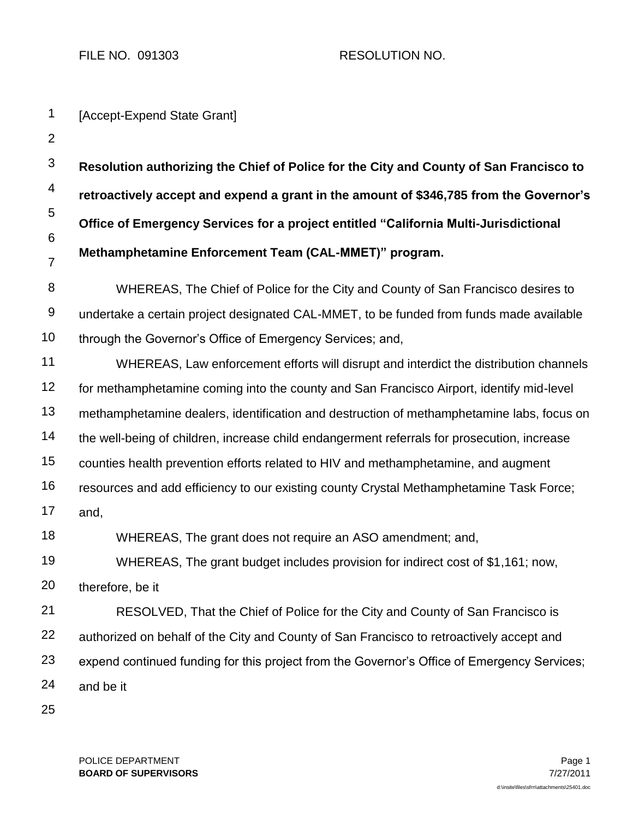FILE NO. 091303 RESOLUTION NO.

| 1                        | [Accept-Expend State Grant]                                                                 |  |  |  |
|--------------------------|---------------------------------------------------------------------------------------------|--|--|--|
| $\overline{2}$           |                                                                                             |  |  |  |
| $\mathfrak{B}$           | Resolution authorizing the Chief of Police for the City and County of San Francisco to      |  |  |  |
| $\overline{\mathcal{A}}$ | retroactively accept and expend a grant in the amount of \$346,785 from the Governor's      |  |  |  |
| 5                        | Office of Emergency Services for a project entitled "California Multi-Jurisdictional        |  |  |  |
| 6<br>$\overline{7}$      | Methamphetamine Enforcement Team (CAL-MMET)" program.                                       |  |  |  |
| 8                        | WHEREAS, The Chief of Police for the City and County of San Francisco desires to            |  |  |  |
| 9                        | undertake a certain project designated CAL-MMET, to be funded from funds made available     |  |  |  |
| 10                       | through the Governor's Office of Emergency Services; and,                                   |  |  |  |
| 11                       | WHEREAS, Law enforcement efforts will disrupt and interdict the distribution channels       |  |  |  |
| 12                       | for methamphetamine coming into the county and San Francisco Airport, identify mid-level    |  |  |  |
| 13                       | methamphetamine dealers, identification and destruction of methamphetamine labs, focus on   |  |  |  |
| 14                       | the well-being of children, increase child endangerment referrals for prosecution, increase |  |  |  |
| 15                       | counties health prevention efforts related to HIV and methamphetamine, and augment          |  |  |  |
| 16                       | resources and add efficiency to our existing county Crystal Methamphetamine Task Force;     |  |  |  |
| 17                       | and,                                                                                        |  |  |  |
| 18                       | WHEREAS, The grant does not require an ASO amendment; and,                                  |  |  |  |
| 19                       | WHEREAS, The grant budget includes provision for indirect cost of \$1,161; now,             |  |  |  |
| 20                       | therefore, be it                                                                            |  |  |  |
| 21                       | RESOLVED, That the Chief of Police for the City and County of San Francisco is              |  |  |  |
| 22                       | authorized on behalf of the City and County of San Francisco to retroactively accept and    |  |  |  |
| 23                       | expend continued funding for this project from the Governor's Office of Emergency Services; |  |  |  |
| 24                       | and be it                                                                                   |  |  |  |
| 25                       |                                                                                             |  |  |  |